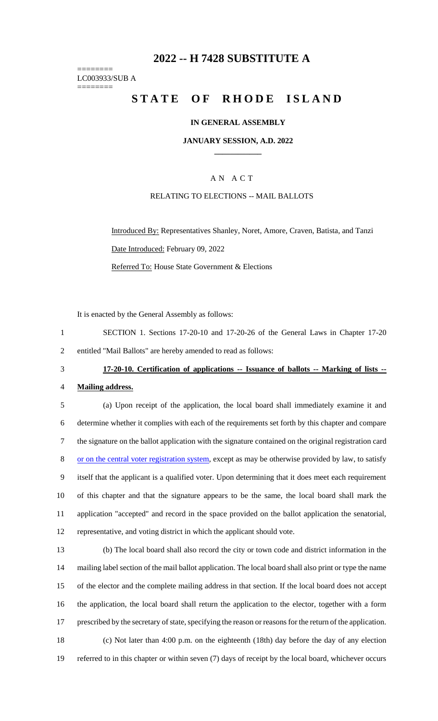# **2022 -- H 7428 SUBSTITUTE A**

======== LC003933/SUB A ========

# **STATE OF RHODE ISLAND**

#### **IN GENERAL ASSEMBLY**

#### **JANUARY SESSION, A.D. 2022 \_\_\_\_\_\_\_\_\_\_\_\_**

## A N A C T

#### RELATING TO ELECTIONS -- MAIL BALLOTS

Introduced By: Representatives Shanley, Noret, Amore, Craven, Batista, and Tanzi Date Introduced: February 09, 2022 Referred To: House State Government & Elections

It is enacted by the General Assembly as follows:

- 1 SECTION 1. Sections 17-20-10 and 17-20-26 of the General Laws in Chapter 17-20 2 entitled "Mail Ballots" are hereby amended to read as follows:
- 

# 3 **17-20-10. Certification of applications -- Issuance of ballots -- Marking of lists --**

#### 4 **Mailing address.**

 (a) Upon receipt of the application, the local board shall immediately examine it and determine whether it complies with each of the requirements set forth by this chapter and compare the signature on the ballot application with the signature contained on the original registration card 8 or on the central voter registration system, except as may be otherwise provided by law, to satisfy itself that the applicant is a qualified voter. Upon determining that it does meet each requirement of this chapter and that the signature appears to be the same, the local board shall mark the application "accepted" and record in the space provided on the ballot application the senatorial, representative, and voting district in which the applicant should vote.

 (b) The local board shall also record the city or town code and district information in the mailing label section of the mail ballot application. The local board shall also print or type the name of the elector and the complete mailing address in that section. If the local board does not accept the application, the local board shall return the application to the elector, together with a form prescribed by the secretary of state, specifying the reason or reasons for the return of the application. (c) Not later than 4:00 p.m. on the eighteenth (18th) day before the day of any election referred to in this chapter or within seven (7) days of receipt by the local board, whichever occurs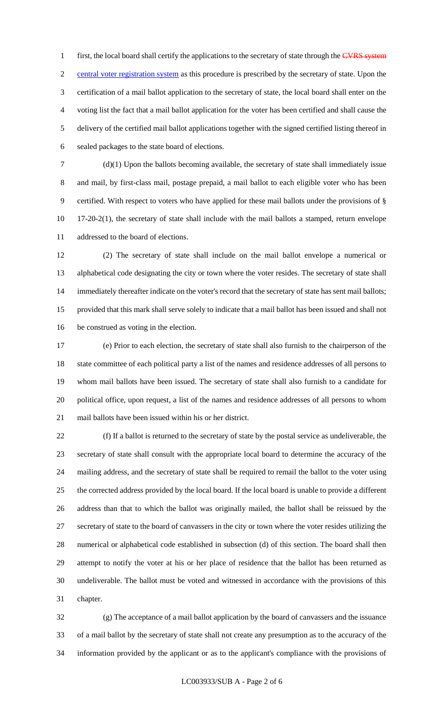1 first, the local board shall certify the applications to the secretary of state through the CVRS system central voter registration system as this procedure is prescribed by the secretary of state. Upon the certification of a mail ballot application to the secretary of state, the local board shall enter on the voting list the fact that a mail ballot application for the voter has been certified and shall cause the delivery of the certified mail ballot applications together with the signed certified listing thereof in sealed packages to the state board of elections.

 (d)(1) Upon the ballots becoming available, the secretary of state shall immediately issue and mail, by first-class mail, postage prepaid, a mail ballot to each eligible voter who has been certified. With respect to voters who have applied for these mail ballots under the provisions of § 17-20-2(1), the secretary of state shall include with the mail ballots a stamped, return envelope addressed to the board of elections.

 (2) The secretary of state shall include on the mail ballot envelope a numerical or alphabetical code designating the city or town where the voter resides. The secretary of state shall immediately thereafter indicate on the voter's record that the secretary of state has sent mail ballots; provided that this mark shall serve solely to indicate that a mail ballot has been issued and shall not be construed as voting in the election.

 (e) Prior to each election, the secretary of state shall also furnish to the chairperson of the state committee of each political party a list of the names and residence addresses of all persons to whom mail ballots have been issued. The secretary of state shall also furnish to a candidate for political office, upon request, a list of the names and residence addresses of all persons to whom mail ballots have been issued within his or her district.

 (f) If a ballot is returned to the secretary of state by the postal service as undeliverable, the secretary of state shall consult with the appropriate local board to determine the accuracy of the mailing address, and the secretary of state shall be required to remail the ballot to the voter using the corrected address provided by the local board. If the local board is unable to provide a different address than that to which the ballot was originally mailed, the ballot shall be reissued by the secretary of state to the board of canvassers in the city or town where the voter resides utilizing the numerical or alphabetical code established in subsection (d) of this section. The board shall then attempt to notify the voter at his or her place of residence that the ballot has been returned as undeliverable. The ballot must be voted and witnessed in accordance with the provisions of this chapter.

 (g) The acceptance of a mail ballot application by the board of canvassers and the issuance of a mail ballot by the secretary of state shall not create any presumption as to the accuracy of the information provided by the applicant or as to the applicant's compliance with the provisions of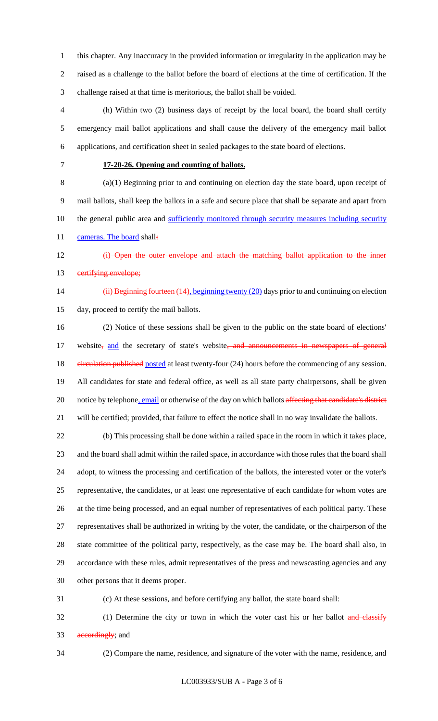this chapter. Any inaccuracy in the provided information or irregularity in the application may be raised as a challenge to the ballot before the board of elections at the time of certification. If the challenge raised at that time is meritorious, the ballot shall be voided.

 (h) Within two (2) business days of receipt by the local board, the board shall certify emergency mail ballot applications and shall cause the delivery of the emergency mail ballot applications, and certification sheet in sealed packages to the state board of elections.

#### **17-20-26. Opening and counting of ballots.**

 (a)(1) Beginning prior to and continuing on election day the state board, upon receipt of mail ballots, shall keep the ballots in a safe and secure place that shall be separate and apart from 10 the general public area and sufficiently monitored through security measures including security 11 cameras. The board shall:

- **(i)** Open the outer envelope and attach the matching ballot application to the inner
- 

# 13 eertifying envelope;

14 (ii) Beginning fourteen (14), beginning twenty (20) days prior to and continuing on election day, proceed to certify the mail ballots.

 (2) Notice of these sessions shall be given to the public on the state board of elections' 17 website<sub>r</sub> and the secretary of state's website, and announcements in newspapers of general 18 eirculation published posted at least twenty-four (24) hours before the commencing of any session. All candidates for state and federal office, as well as all state party chairpersons, shall be given 20 notice by telephone, email or otherwise of the day on which ballots affecting that candidate's district will be certified; provided, that failure to effect the notice shall in no way invalidate the ballots.

 (b) This processing shall be done within a railed space in the room in which it takes place, and the board shall admit within the railed space, in accordance with those rules that the board shall adopt, to witness the processing and certification of the ballots, the interested voter or the voter's representative, the candidates, or at least one representative of each candidate for whom votes are at the time being processed, and an equal number of representatives of each political party. These representatives shall be authorized in writing by the voter, the candidate, or the chairperson of the state committee of the political party, respectively, as the case may be. The board shall also, in accordance with these rules, admit representatives of the press and newscasting agencies and any other persons that it deems proper.

(c) At these sessions, and before certifying any ballot, the state board shall:

32 (1) Determine the city or town in which the voter cast his or her ballot and classify 33 accordingly; and

(2) Compare the name, residence, and signature of the voter with the name, residence, and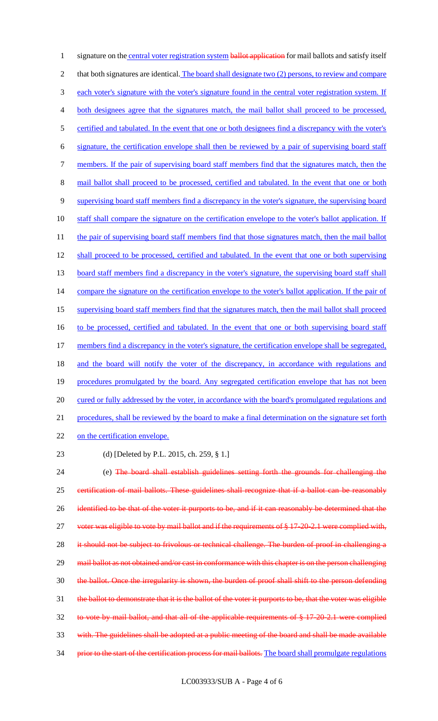1 signature on the central voter registration system ballot application for mail ballots and satisfy itself 2 that both signatures are identical. The board shall designate two (2) persons, to review and compare 3 each voter's signature with the voter's signature found in the central voter registration system. If 4 both designees agree that the signatures match, the mail ballot shall proceed to be processed, 5 certified and tabulated. In the event that one or both designees find a discrepancy with the voter's 6 signature, the certification envelope shall then be reviewed by a pair of supervising board staff 7 members. If the pair of supervising board staff members find that the signatures match, then the 8 mail ballot shall proceed to be processed, certified and tabulated. In the event that one or both 9 supervising board staff members find a discrepancy in the voter's signature, the supervising board 10 staff shall compare the signature on the certification envelope to the voter's ballot application. If 11 the pair of supervising board staff members find that those signatures match, then the mail ballot 12 shall proceed to be processed, certified and tabulated. In the event that one or both supervising 13 board staff members find a discrepancy in the voter's signature, the supervising board staff shall 14 compare the signature on the certification envelope to the voter's ballot application. If the pair of 15 supervising board staff members find that the signatures match, then the mail ballot shall proceed 16 to be processed, certified and tabulated. In the event that one or both supervising board staff 17 members find a discrepancy in the voter's signature, the certification envelope shall be segregated, 18 and the board will notify the voter of the discrepancy, in accordance with regulations and 19 procedures promulgated by the board. Any segregated certification envelope that has not been 20 cured or fully addressed by the voter, in accordance with the board's promulgated regulations and 21 procedures, shall be reviewed by the board to make a final determination on the signature set forth 22 on the certification envelope.

23 (d) [Deleted by P.L. 2015, ch. 259, § 1.]

24 (e) The board shall establish guidelines setting forth the grounds for challenging the 25 certification of mail ballots. These guidelines shall recognize that if a ballot can be reasonably 26 identified to be that of the voter it purports to be, and if it can reasonably be determined that the 27 voter was eligible to vote by mail ballot and if the requirements of § 17-20-2.1 were complied with, 28 it should not be subject to frivolous or technical challenge. The burden of proof in challenging a 29 mail ballot as not obtained and/or cast in conformance with this chapter is on the person challenging 30 the ballot. Once the irregularity is shown, the burden of proof shall shift to the person defending 31 the ballot to demonstrate that it is the ballot of the voter it purports to be, that the voter was eligible 32 to vote by mail ballot, and that all of the applicable requirements of § 17-20-2.1 were complied 33 with. The guidelines shall be adopted at a public meeting of the board and shall be made available 34 prior to the start of the certification process for mail ballots. The board shall promulgate regulations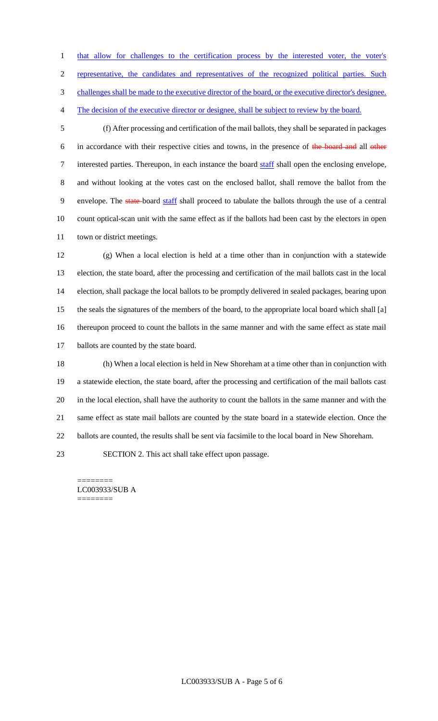1 that allow for challenges to the certification process by the interested voter, the voter's

representative, the candidates and representatives of the recognized political parties. Such

challenges shall be made to the executive director of the board, or the executive director's designee.

The decision of the executive director or designee, shall be subject to review by the board.

 (f) After processing and certification of the mail ballots, they shall be separated in packages in accordance with their respective cities and towns, in the presence of the board and all other 7 interested parties. Thereupon, in each instance the board staff shall open the enclosing envelope, and without looking at the votes cast on the enclosed ballot, shall remove the ballot from the 9 envelope. The state-board staff shall proceed to tabulate the ballots through the use of a central count optical-scan unit with the same effect as if the ballots had been cast by the electors in open town or district meetings.

 (g) When a local election is held at a time other than in conjunction with a statewide election, the state board, after the processing and certification of the mail ballots cast in the local election, shall package the local ballots to be promptly delivered in sealed packages, bearing upon the seals the signatures of the members of the board, to the appropriate local board which shall [a] thereupon proceed to count the ballots in the same manner and with the same effect as state mail 17 ballots are counted by the state board.

 (h) When a local election is held in New Shoreham at a time other than in conjunction with a statewide election, the state board, after the processing and certification of the mail ballots cast in the local election, shall have the authority to count the ballots in the same manner and with the same effect as state mail ballots are counted by the state board in a statewide election. Once the ballots are counted, the results shall be sent via facsimile to the local board in New Shoreham.

SECTION 2. This act shall take effect upon passage.

======== LC003933/SUB A ========